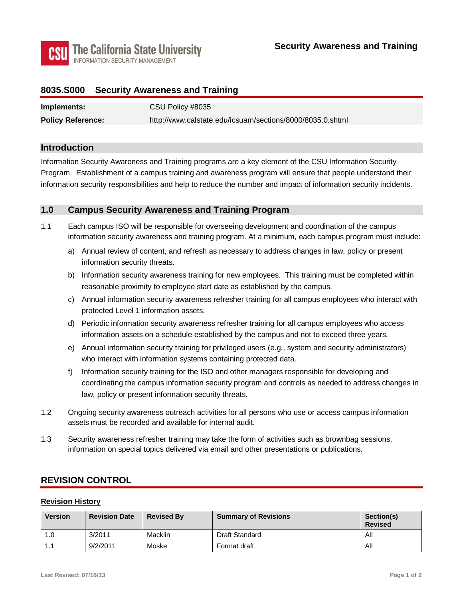

## **8035.S000 Security Awareness and Training**

| Implements:              | CSU Policy #8035                                          |
|--------------------------|-----------------------------------------------------------|
| <b>Policy Reference:</b> | http://www.calstate.edu/icsuam/sections/8000/8035.0.shtml |

### **Introduction**

Information Security Awareness and Training programs are a key element of the CSU Information Security Program. Establishment of a campus training and awareness program will ensure that people understand their information security responsibilities and help to reduce the number and impact of information security incidents.

### **1.0 Campus Security Awareness and Training Program**

- 1.1 Each campus ISO will be responsible for overseeing development and coordination of the campus information security awareness and training program. At a minimum, each campus program must include:
	- a) Annual review of content, and refresh as necessary to address changes in law, policy or present information security threats.
	- b) Information security awareness training for new employees. This training must be completed within reasonable proximity to employee start date as established by the campus.
	- protected Level 1 information assets. c) Annual information security awareness refresher training for all campus employees who interact with
	- d) Periodic information security awareness refresher training for all campus employees who access information assets on a schedule established by the campus and not to exceed three years.
	- who interact with information systems containing protected data. e) Annual information security training for privileged users (e.g., system and security administrators)
	- f) Information security training for the ISO and other managers responsible for developing and coordinating the campus information security program and controls as needed to address changes in law, policy or present information security threats.
- 1.2 Ongoing security awareness outreach activities for all persons who use or access campus information assets must be recorded and available for internal audit.
- 1.3 Security awareness refresher training may take the form of activities such as brownbag sessions, information on special topics delivered via email and other presentations or publications.

## **REVISION CONTROL**

#### **Revision History**

| <b>Version</b> | <b>Revision Date</b> | <b>Revised By</b> | <b>Summary of Revisions</b> | Section(s)<br><b>Revised</b> |
|----------------|----------------------|-------------------|-----------------------------|------------------------------|
| 1.0            | 3/2011               | Macklin           | Draft Standard              | All                          |
|                | 9/2/2011             | Moske             | Format draft.               | All                          |